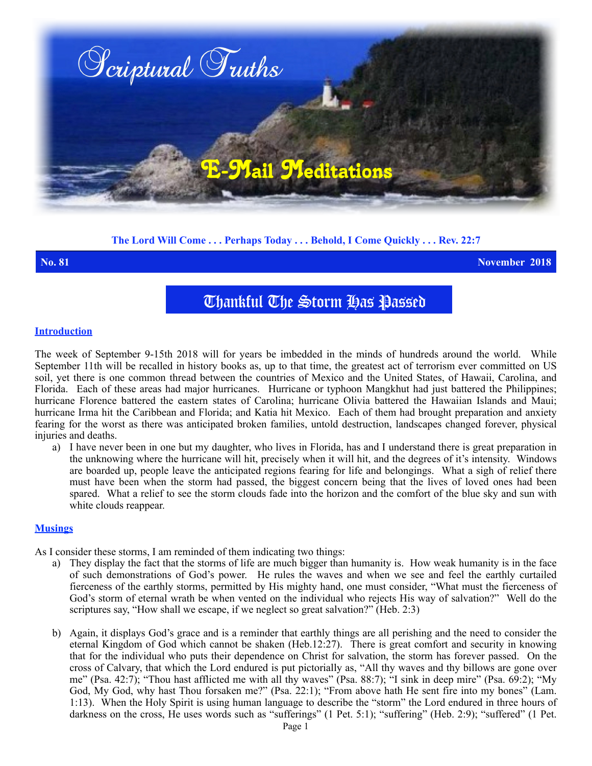

# **The Lord Will Come . . . Perhaps Today . . . Behold, I Come Quickly . . . Rev. 22:7**

**No. 81 November 2018**

# Thankful The Storm Has Passed

#### **Introduction**

The week of September 9-15th 2018 will for years be imbedded in the minds of hundreds around the world. While September 11th will be recalled in history books as, up to that time, the greatest act of terrorism ever committed on US soil, yet there is one common thread between the countries of Mexico and the United States, of Hawaii, Carolina, and Florida. Each of these areas had major hurricanes. Hurricane or typhoon Mangkhut had just battered the Philippines; hurricane Florence battered the eastern states of Carolina; hurricane Olivia battered the Hawaiian Islands and Maui; hurricane Irma hit the Caribbean and Florida; and Katia hit Mexico. Each of them had brought preparation and anxiety fearing for the worst as there was anticipated broken families, untold destruction, landscapes changed forever, physical injuries and deaths.

a) I have never been in one but my daughter, who lives in Florida, has and I understand there is great preparation in the unknowing where the hurricane will hit, precisely when it will hit, and the degrees of it's intensity. Windows are boarded up, people leave the anticipated regions fearing for life and belongings. What a sigh of relief there must have been when the storm had passed, the biggest concern being that the lives of loved ones had been spared. What a relief to see the storm clouds fade into the horizon and the comfort of the blue sky and sun with white clouds reappear.

#### **Musings**

As I consider these storms, I am reminded of them indicating two things:

- a) They display the fact that the storms of life are much bigger than humanity is. How weak humanity is in the face of such demonstrations of God's power. He rules the waves and when we see and feel the earthly curtailed fierceness of the earthly storms, permitted by His mighty hand, one must consider, "What must the fierceness of God's storm of eternal wrath be when vented on the individual who rejects His way of salvation?" Well do the scriptures say, "How shall we escape, if we neglect so great salvation?" (Heb. 2:3)
- b) Again, it displays God's grace and is a reminder that earthly things are all perishing and the need to consider the eternal Kingdom of God which cannot be shaken (Heb.12:27). There is great comfort and security in knowing that for the individual who puts their dependence on Christ for salvation, the storm has forever passed. On the cross of Calvary, that which the Lord endured is put pictorially as, "All thy waves and thy billows are gone over me" (Psa. 42:7); "Thou hast afflicted me with all thy waves" (Psa. 88:7); "I sink in deep mire" (Psa. 69:2); "My God, My God, why hast Thou forsaken me?" (Psa. 22:1); "From above hath He sent fire into my bones" (Lam. 1:13). When the Holy Spirit is using human language to describe the "storm" the Lord endured in three hours of darkness on the cross, He uses words such as "sufferings" (1 Pet. 5:1); "suffering" (Heb. 2:9); "suffered" (1 Pet.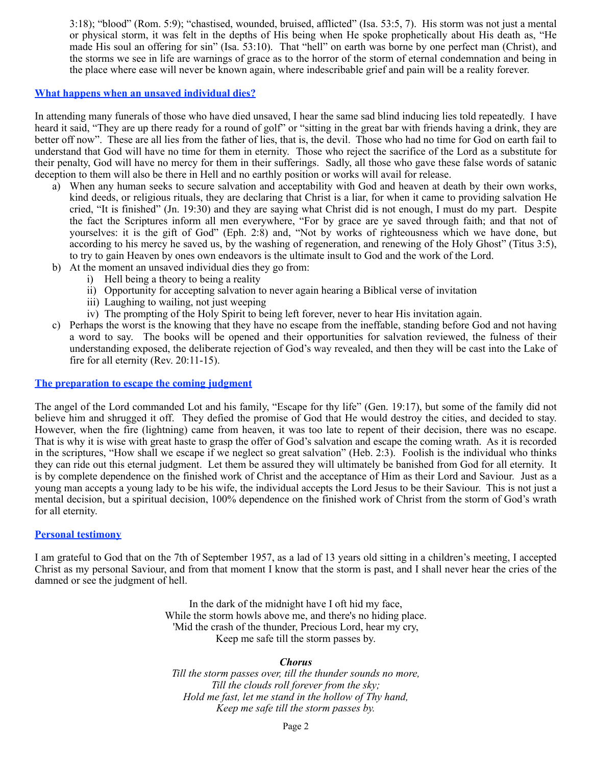3:18); "blood" (Rom. 5:9); "chastised, wounded, bruised, afflicted" (Isa. 53:5, 7). His storm was not just a mental or physical storm, it was felt in the depths of His being when He spoke prophetically about His death as, "He made His soul an offering for sin" (Isa. 53:10). That "hell" on earth was borne by one perfect man (Christ), and the storms we see in life are warnings of grace as to the horror of the storm of eternal condemnation and being in the place where ease will never be known again, where indescribable grief and pain will be a reality forever.

### **What happens when an unsaved individual dies?**

In attending many funerals of those who have died unsaved, I hear the same sad blind inducing lies told repeatedly. I have heard it said, "They are up there ready for a round of golf" or "sitting in the great bar with friends having a drink, they are better off now". These are all lies from the father of lies, that is, the devil. Those who had no time for God on earth fail to understand that God will have no time for them in eternity. Those who reject the sacrifice of the Lord as a substitute for their penalty, God will have no mercy for them in their sufferings. Sadly, all those who gave these false words of satanic deception to them will also be there in Hell and no earthly position or works will avail for release.

- a) When any human seeks to secure salvation and acceptability with God and heaven at death by their own works, kind deeds, or religious rituals, they are declaring that Christ is a liar, for when it came to providing salvation He cried, "It is finished" (Jn. 19:30) and they are saying what Christ did is not enough, I must do my part. Despite the fact the Scriptures inform all men everywhere, "For by grace are ye saved through faith; and that not of yourselves: it is the gift of God" (Eph. 2:8) and, "Not by works of righteousness which we have done, but according to his mercy he saved us, by the washing of regeneration, and renewing of the Holy Ghost" (Titus 3:5), to try to gain Heaven by ones own endeavors is the ultimate insult to God and the work of the Lord.
- b) At the moment an unsaved individual dies they go from:
	- i) Hell being a theory to being a reality
	- ii) Opportunity for accepting salvation to never again hearing a Biblical verse of invitation
	- iii) Laughing to wailing, not just weeping
	- iv) The prompting of the Holy Spirit to being left forever, never to hear His invitation again.
- c) Perhaps the worst is the knowing that they have no escape from the ineffable, standing before God and not having a word to say. The books will be opened and their opportunities for salvation reviewed, the fulness of their understanding exposed, the deliberate rejection of God's way revealed, and then they will be cast into the Lake of fire for all eternity (Rev. 20:11-15).

### **The preparation to escape the coming judgment**

The angel of the Lord commanded Lot and his family, "Escape for thy life" (Gen. 19:17), but some of the family did not believe him and shrugged it off. They defied the promise of God that He would destroy the cities, and decided to stay. However, when the fire (lightning) came from heaven, it was too late to repent of their decision, there was no escape. That is why it is wise with great haste to grasp the offer of God's salvation and escape the coming wrath. As it is recorded in the scriptures, "How shall we escape if we neglect so great salvation" (Heb. 2:3). Foolish is the individual who thinks they can ride out this eternal judgment. Let them be assured they will ultimately be banished from God for all eternity. It is by complete dependence on the finished work of Christ and the acceptance of Him as their Lord and Saviour. Just as a young man accepts a young lady to be his wife, the individual accepts the Lord Jesus to be their Saviour. This is not just a mental decision, but a spiritual decision, 100% dependence on the finished work of Christ from the storm of God's wrath for all eternity.

#### **Personal testimony**

I am grateful to God that on the 7th of September 1957, as a lad of 13 years old sitting in a children's meeting, I accepted Christ as my personal Saviour, and from that moment I know that the storm is past, and I shall never hear the cries of the damned or see the judgment of hell.

> In the dark of the midnight have I oft hid my face, While the storm howls above me, and there's no hiding place. 'Mid the crash of the thunder, Precious Lord, hear my cry, Keep me safe till the storm passes by.

## *Chorus*

*Till the storm passes over, till the thunder sounds no more, Till the clouds roll forever from the sky; Hold me fast, let me stand in the hollow of Thy hand, Keep me safe till the storm passes by.*